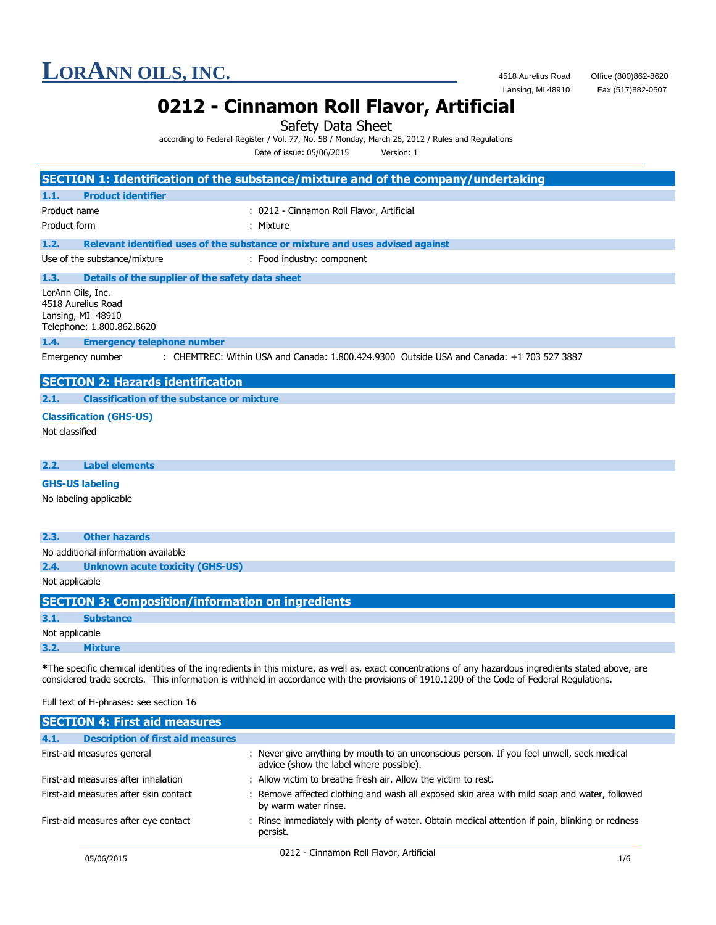# **LORANN OILS, INC.** 4518 Aurelius Road Office (800)862-8620<br>Lansing, MI 48910 Fax (517)882-0507

Fax (517)882-0507

# **0212 - Cinnamon Roll Flavor, Artificial**

Safety Data Sheet

according to Federal Register / Vol. 77, No. 58 / Monday, March 26, 2012 / Rules and Regulations

Date of issue: 05/06/2015 Version: 1

|                                                                                                                                                       |                                                                               | SECTION 1: Identification of the substance/mixture and of the company/undertaking         |  |
|-------------------------------------------------------------------------------------------------------------------------------------------------------|-------------------------------------------------------------------------------|-------------------------------------------------------------------------------------------|--|
| 1.1.                                                                                                                                                  | <b>Product identifier</b>                                                     |                                                                                           |  |
| Product name                                                                                                                                          |                                                                               | : 0212 - Cinnamon Roll Flavor, Artificial                                                 |  |
| Product form                                                                                                                                          |                                                                               | : Mixture                                                                                 |  |
| 1.2.                                                                                                                                                  | Relevant identified uses of the substance or mixture and uses advised against |                                                                                           |  |
| Use of the substance/mixture                                                                                                                          |                                                                               | : Food industry: component                                                                |  |
|                                                                                                                                                       |                                                                               |                                                                                           |  |
| Details of the supplier of the safety data sheet<br>1.3.<br>LorAnn Oils, Inc.<br>4518 Aurelius Road<br>Lansing, MI 48910<br>Telephone: 1.800.862.8620 |                                                                               |                                                                                           |  |
| 1.4.                                                                                                                                                  | <b>Emergency telephone number</b>                                             |                                                                                           |  |
|                                                                                                                                                       | Emergency number                                                              | : CHEMTREC: Within USA and Canada: 1.800.424.9300 Outside USA and Canada: +1 703 527 3887 |  |
|                                                                                                                                                       | <b>SECTION 2: Hazards identification</b>                                      |                                                                                           |  |
| 2.1.                                                                                                                                                  | <b>Classification of the substance or mixture</b>                             |                                                                                           |  |
|                                                                                                                                                       | <b>Classification (GHS-US)</b>                                                |                                                                                           |  |
| Not classified                                                                                                                                        |                                                                               |                                                                                           |  |
|                                                                                                                                                       |                                                                               |                                                                                           |  |
| 2.2.                                                                                                                                                  | <b>Label elements</b>                                                         |                                                                                           |  |
|                                                                                                                                                       | <b>GHS-US labeling</b>                                                        |                                                                                           |  |
| No labeling applicable                                                                                                                                |                                                                               |                                                                                           |  |
|                                                                                                                                                       |                                                                               |                                                                                           |  |
| 2.3.                                                                                                                                                  | <b>Other hazards</b>                                                          |                                                                                           |  |
| No additional information available                                                                                                                   |                                                                               |                                                                                           |  |
| 2.4.                                                                                                                                                  | <b>Unknown acute toxicity (GHS-US)</b>                                        |                                                                                           |  |

Not applicable

| <b>SECTION 3: Composition/information on ingredients</b> |                  |  |  |
|----------------------------------------------------------|------------------|--|--|
| 3.1.                                                     | <b>Substance</b> |  |  |
| Not applicable                                           |                  |  |  |
| 3.2.                                                     | <b>Mixture</b>   |  |  |

**\***The specific chemical identities of the ingredients in this mixture, as well as, exact concentrations of any hazardous ingredients stated above, are considered trade secrets. This information is withheld in accordance with the provisions of 1910.1200 of the Code of Federal Regulations.

### Full text of H-phrases: see section 16

|                                      | <b>SECTION 4: First aid measures</b>     |                                                                                                                                      |     |
|--------------------------------------|------------------------------------------|--------------------------------------------------------------------------------------------------------------------------------------|-----|
| 4.1.                                 | <b>Description of first aid measures</b> |                                                                                                                                      |     |
| First-aid measures general           |                                          | : Never give anything by mouth to an unconscious person. If you feel unwell, seek medical<br>advice (show the label where possible). |     |
| First-aid measures after inhalation  |                                          | : Allow victim to breathe fresh air. Allow the victim to rest.                                                                       |     |
|                                      | First-aid measures after skin contact    | : Remove affected clothing and wash all exposed skin area with mild soap and water, followed<br>by warm water rinse.                 |     |
| First-aid measures after eye contact |                                          | : Rinse immediately with plenty of water. Obtain medical attention if pain, blinking or redness<br>persist.                          |     |
| 05/06/2015                           |                                          | 0212 - Cinnamon Roll Flavor, Artificial                                                                                              | 1/6 |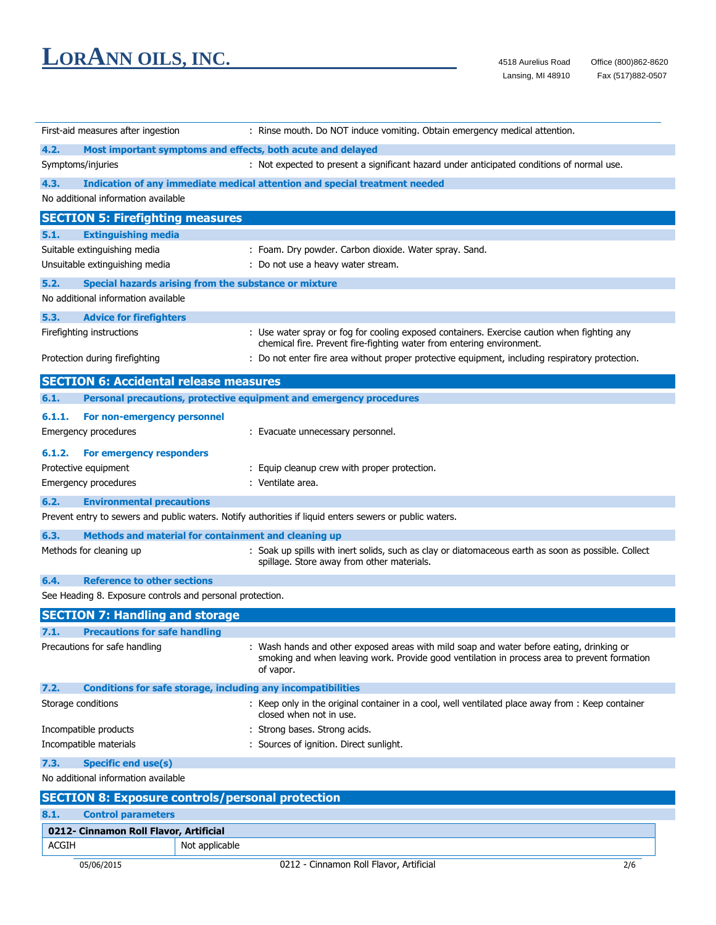| First-aid measures after ingestion                        | : Rinse mouth. Do NOT induce vomiting. Obtain emergency medical attention.                                                                                                                            |  |  |
|-----------------------------------------------------------|-------------------------------------------------------------------------------------------------------------------------------------------------------------------------------------------------------|--|--|
| 4.2.                                                      | Most important symptoms and effects, both acute and delayed                                                                                                                                           |  |  |
| Symptoms/injuries                                         | : Not expected to present a significant hazard under anticipated conditions of normal use.                                                                                                            |  |  |
| 4.3.                                                      | Indication of any immediate medical attention and special treatment needed                                                                                                                            |  |  |
| No additional information available                       |                                                                                                                                                                                                       |  |  |
| <b>SECTION 5: Firefighting measures</b>                   |                                                                                                                                                                                                       |  |  |
| 5.1.<br><b>Extinguishing media</b>                        |                                                                                                                                                                                                       |  |  |
| Suitable extinguishing media                              | : Foam. Dry powder. Carbon dioxide. Water spray. Sand.                                                                                                                                                |  |  |
| Unsuitable extinguishing media                            | : Do not use a heavy water stream.                                                                                                                                                                    |  |  |
| 5.2.                                                      | Special hazards arising from the substance or mixture                                                                                                                                                 |  |  |
| No additional information available                       |                                                                                                                                                                                                       |  |  |
| 5.3.<br><b>Advice for firefighters</b>                    |                                                                                                                                                                                                       |  |  |
| Firefighting instructions                                 | : Use water spray or fog for cooling exposed containers. Exercise caution when fighting any<br>chemical fire. Prevent fire-fighting water from entering environment.                                  |  |  |
| Protection during firefighting                            | : Do not enter fire area without proper protective equipment, including respiratory protection.                                                                                                       |  |  |
| <b>SECTION 6: Accidental release measures</b>             |                                                                                                                                                                                                       |  |  |
| 6.1.                                                      | Personal precautions, protective equipment and emergency procedures                                                                                                                                   |  |  |
| 6.1.1.<br>For non-emergency personnel                     |                                                                                                                                                                                                       |  |  |
| <b>Emergency procedures</b>                               | : Evacuate unnecessary personnel.                                                                                                                                                                     |  |  |
| 6.1.2.<br>For emergency responders                        |                                                                                                                                                                                                       |  |  |
| Protective equipment                                      | : Equip cleanup crew with proper protection.                                                                                                                                                          |  |  |
| Emergency procedures                                      | : Ventilate area.                                                                                                                                                                                     |  |  |
| 6.2.<br><b>Environmental precautions</b>                  |                                                                                                                                                                                                       |  |  |
|                                                           | Prevent entry to sewers and public waters. Notify authorities if liquid enters sewers or public waters.                                                                                               |  |  |
| 6.3.                                                      | Methods and material for containment and cleaning up                                                                                                                                                  |  |  |
| Methods for cleaning up                                   | : Soak up spills with inert solids, such as clay or diatomaceous earth as soon as possible. Collect<br>spillage. Store away from other materials.                                                     |  |  |
| <b>Reference to other sections</b><br>6.4.                |                                                                                                                                                                                                       |  |  |
| See Heading 8. Exposure controls and personal protection. |                                                                                                                                                                                                       |  |  |
| <b>SECTION 7: Handling and storage</b>                    |                                                                                                                                                                                                       |  |  |
| 7.1.<br><b>Precautions for safe handling</b>              |                                                                                                                                                                                                       |  |  |
| Precautions for safe handling                             | : Wash hands and other exposed areas with mild soap and water before eating, drinking or<br>smoking and when leaving work. Provide good ventilation in process area to prevent formation<br>of vapor. |  |  |
| 7.2.                                                      | <b>Conditions for safe storage, including any incompatibilities</b>                                                                                                                                   |  |  |
| Storage conditions                                        | : Keep only in the original container in a cool, well ventilated place away from : Keep container<br>closed when not in use.                                                                          |  |  |
| Incompatible products                                     | : Strong bases. Strong acids.                                                                                                                                                                         |  |  |
| Incompatible materials                                    | : Sources of ignition. Direct sunlight.                                                                                                                                                               |  |  |
| 7.3.<br><b>Specific end use(s)</b>                        |                                                                                                                                                                                                       |  |  |
| No additional information available                       |                                                                                                                                                                                                       |  |  |
|                                                           | <b>SECTION 8: Exposure controls/personal protection</b>                                                                                                                                               |  |  |
| 8.1.<br><b>Control parameters</b>                         |                                                                                                                                                                                                       |  |  |
| 0212- Cinnamon Roll Flavor, Artificial                    |                                                                                                                                                                                                       |  |  |
| <b>ACGIH</b>                                              | Not applicable                                                                                                                                                                                        |  |  |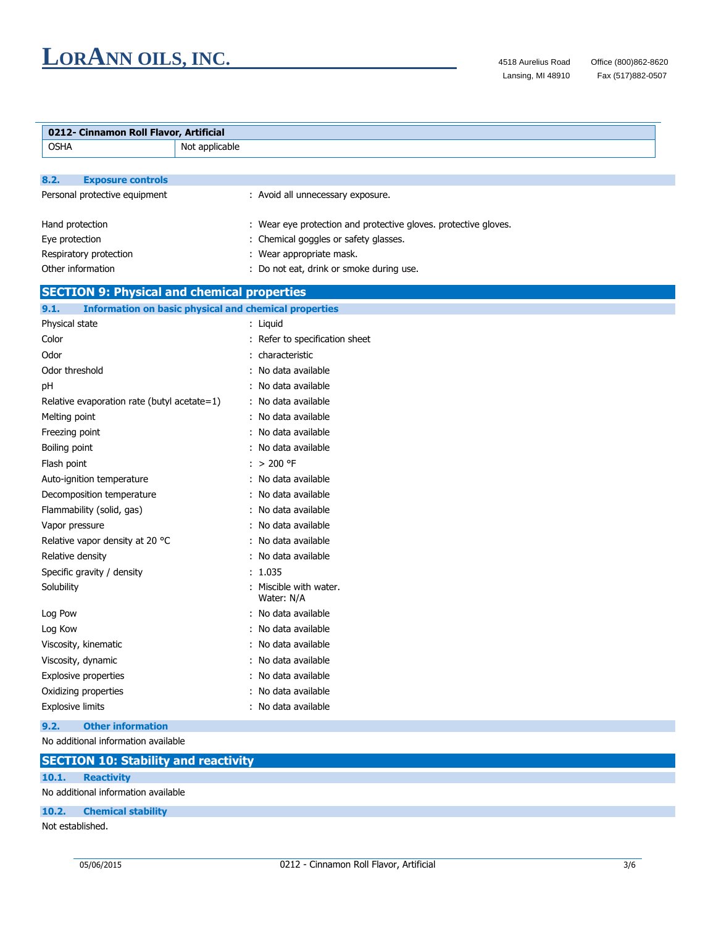$\overline{a}$ 

| 0212- Cinnamon Roll Flavor, Artificial             |                                                                 |  |
|----------------------------------------------------|-----------------------------------------------------------------|--|
| <b>OSHA</b>                                        | Not applicable                                                  |  |
|                                                    |                                                                 |  |
| 8.2.<br><b>Exposure controls</b>                   |                                                                 |  |
| Personal protective equipment                      | : Avoid all unnecessary exposure.                               |  |
|                                                    |                                                                 |  |
| Hand protection                                    | : Wear eye protection and protective gloves. protective gloves. |  |
| Eye protection                                     | Chemical goggles or safety glasses.                             |  |
| Respiratory protection                             | Wear appropriate mask.                                          |  |
| Other information                                  | : Do not eat, drink or smoke during use.                        |  |
| <b>SECTION 9: Physical and chemical properties</b> |                                                                 |  |
| 9.1.                                               | <b>Information on basic physical and chemical properties</b>    |  |
| Physical state                                     | : Liquid                                                        |  |
| Color                                              | : Refer to specification sheet                                  |  |
| Odor                                               | characteristic                                                  |  |
| Odor threshold                                     | No data available                                               |  |
| рH                                                 | : No data available                                             |  |
| Relative evaporation rate (butyl acetate=1)        | : No data available                                             |  |
| Melting point                                      | No data available                                               |  |
| Freezing point                                     | No data available                                               |  |
| Boiling point                                      | No data available                                               |  |
| Flash point                                        | : $> 200$ °F                                                    |  |
| Auto-ignition temperature                          | : No data available                                             |  |
| Decomposition temperature                          | : No data available                                             |  |
| Flammability (solid, gas)                          | No data available                                               |  |
| Vapor pressure                                     | : No data available                                             |  |
| Relative vapor density at 20 °C                    | No data available                                               |  |
| Relative density                                   | No data available                                               |  |
| Specific gravity / density                         | 1.035                                                           |  |
| Solubility                                         | Miscible with water.<br>Water: N/A                              |  |
| Log Pow                                            | No data available                                               |  |
| Log Kow                                            | : No data available                                             |  |
| Viscosity, kinematic                               | : No data available                                             |  |
| Viscosity, dynamic                                 | : No data available                                             |  |
| <b>Explosive properties</b>                        | No data available                                               |  |
| Oxidizing properties                               | No data available                                               |  |
| Explosive limits                                   | : No data available                                             |  |
| <b>Other information</b><br>9.2.                   |                                                                 |  |
| No additional information available                |                                                                 |  |
| <b>SECTION 10: Stability and reactivity</b>        |                                                                 |  |
| 10.1.<br><b>Reactivity</b>                         |                                                                 |  |

No additional information available

## **10.2. Chemical stability**

Not established.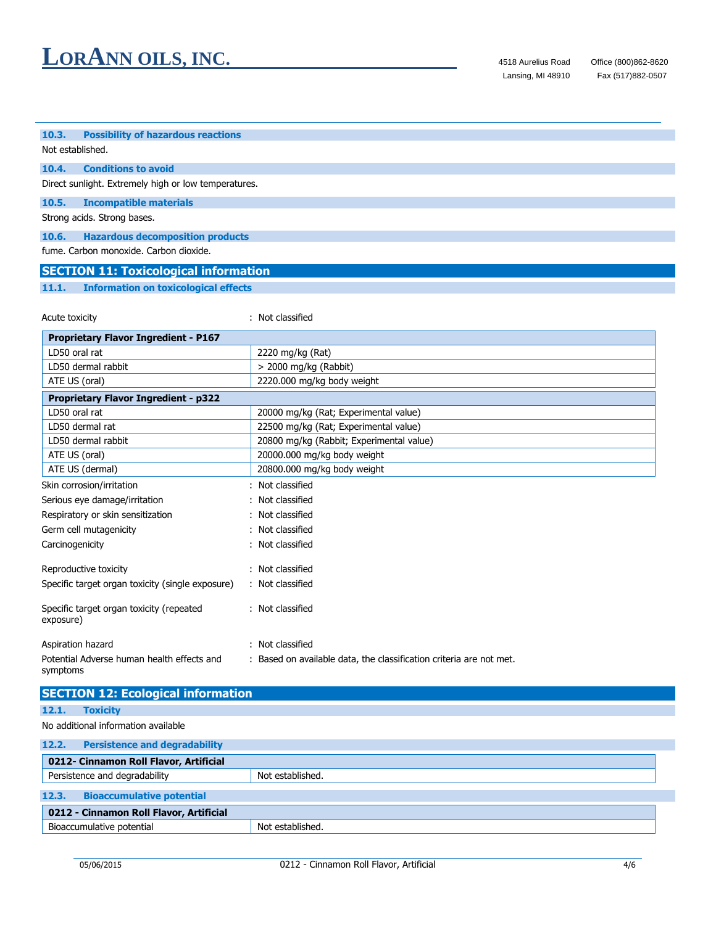## **10.3. Possibility of hazardous reactions**

### Not established.

#### **10.4. Conditions to avoid**

Direct sunlight. Extremely high or low temperatures.

### **10.5. Incompatible materials**

Strong acids. Strong bases.

#### **10.6. Hazardous decomposition products**

fume. Carbon monoxide. Carbon dioxide.

# **SECTION 11: Toxicological information**

**11.1. Information on toxicological effects**

| Acute toxicity                              | : Not classified                         |  |  |  |
|---------------------------------------------|------------------------------------------|--|--|--|
| <b>Proprietary Flavor Ingredient - P167</b> |                                          |  |  |  |
| LD50 oral rat                               | 2220 mg/kg (Rat)                         |  |  |  |
| LD50 dermal rabbit                          | $>$ 2000 mg/kg (Rabbit)                  |  |  |  |
| ATE US (oral)                               | 2220.000 mg/kg body weight               |  |  |  |
| <b>Proprietary Flavor Ingredient - p322</b> |                                          |  |  |  |
| LD50 oral rat                               | 20000 mg/kg (Rat; Experimental value)    |  |  |  |
| LD50 dermal rat                             | 22500 mg/kg (Rat; Experimental value)    |  |  |  |
| LD50 dermal rabbit                          | 20800 mg/kg (Rabbit; Experimental value) |  |  |  |
| ATE US (oral)                               | 20000.000 mg/kg body weight              |  |  |  |
| ATE US (dermal)                             | 20800.000 mg/kg body weight              |  |  |  |
| Skin corrosion/irritation                   | : Not classified                         |  |  |  |

| Serious eye damage/irritation                         | : Not classified |
|-------------------------------------------------------|------------------|
| Respiratory or skin sensitization                     | : Not classified |
| Germ cell mutagenicity                                | : Not classified |
| Carcinogenicity                                       | : Not classified |
| Reproductive toxicity                                 | : Not classified |
| Specific target organ toxicity (single exposure)      | : Not classified |
| Specific target organ toxicity (repeated<br>exposure) | : Not classified |
|                                                       |                  |

#### Aspiration hazard : Not classified Potential Adverse human health effects and symptoms : Based on available data, the classification criteria are not met.

| <b>SECTION 12: Ecological information</b> |                                      |                  |  |
|-------------------------------------------|--------------------------------------|------------------|--|
| 12.1.<br><b>Toxicity</b>                  |                                      |                  |  |
| No additional information available       |                                      |                  |  |
| 12.2.                                     | <b>Persistence and degradability</b> |                  |  |
| 0212- Cinnamon Roll Flavor, Artificial    |                                      |                  |  |
| Persistence and degradability             |                                      | Not established. |  |
| 12.3.<br><b>Bioaccumulative potential</b> |                                      |                  |  |
| 0212 - Cinnamon Roll Flavor, Artificial   |                                      |                  |  |
| Bioaccumulative potential                 |                                      | Not established. |  |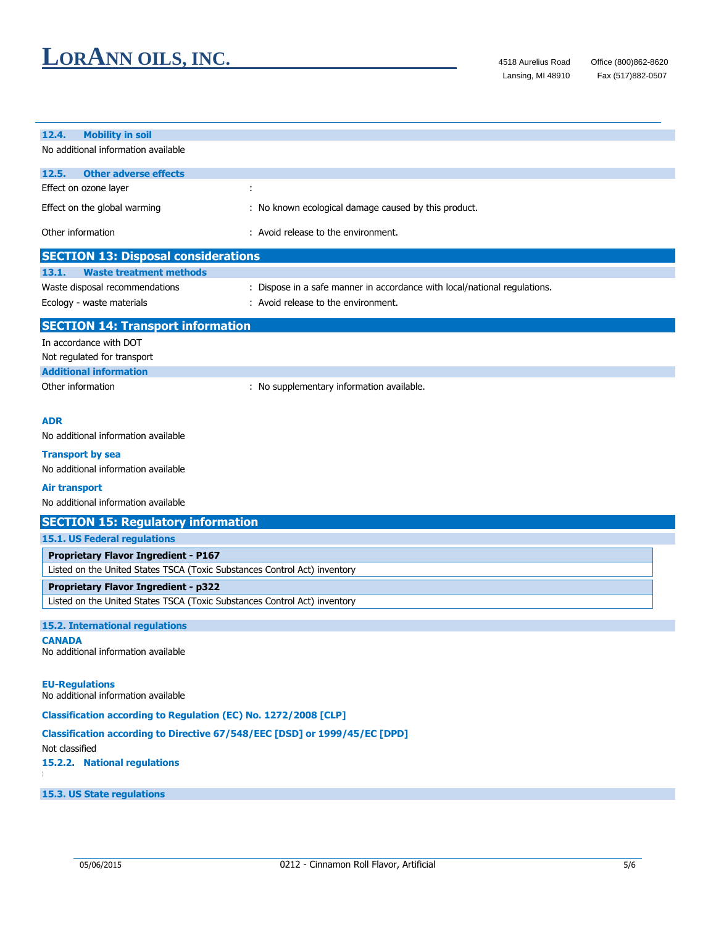| 12.4.<br><b>Mobility in soil</b>                                                                                         |                                                                           |  |
|--------------------------------------------------------------------------------------------------------------------------|---------------------------------------------------------------------------|--|
| No additional information available                                                                                      |                                                                           |  |
| 12.5.<br><b>Other adverse effects</b>                                                                                    |                                                                           |  |
| Effect on ozone layer                                                                                                    | ÷                                                                         |  |
| Effect on the global warming                                                                                             | : No known ecological damage caused by this product.                      |  |
| Other information                                                                                                        | : Avoid release to the environment.                                       |  |
| <b>SECTION 13: Disposal considerations</b>                                                                               |                                                                           |  |
| 13.1.<br><b>Waste treatment methods</b>                                                                                  |                                                                           |  |
| Waste disposal recommendations                                                                                           | : Dispose in a safe manner in accordance with local/national regulations. |  |
| Ecology - waste materials                                                                                                | : Avoid release to the environment.                                       |  |
| <b>SECTION 14: Transport information</b>                                                                                 |                                                                           |  |
| In accordance with DOT                                                                                                   |                                                                           |  |
| Not regulated for transport                                                                                              |                                                                           |  |
| <b>Additional information</b>                                                                                            |                                                                           |  |
| Other information                                                                                                        | : No supplementary information available.                                 |  |
|                                                                                                                          |                                                                           |  |
| <b>ADR</b>                                                                                                               |                                                                           |  |
| No additional information available                                                                                      |                                                                           |  |
| <b>Transport by sea</b>                                                                                                  |                                                                           |  |
| No additional information available                                                                                      |                                                                           |  |
|                                                                                                                          |                                                                           |  |
| <b>Air transport</b><br>No additional information available                                                              |                                                                           |  |
| <b>SECTION 15: Regulatory information</b>                                                                                |                                                                           |  |
| 15.1. US Federal regulations                                                                                             |                                                                           |  |
|                                                                                                                          |                                                                           |  |
| <b>Proprietary Flavor Ingredient - P167</b><br>Listed on the United States TSCA (Toxic Substances Control Act) inventory |                                                                           |  |
|                                                                                                                          |                                                                           |  |
| <b>Proprietary Flavor Ingredient - p322</b><br>Listed on the United States TSCA (Toxic Substances Control Act) inventory |                                                                           |  |
|                                                                                                                          |                                                                           |  |
| <b>15.2. International regulations</b>                                                                                   |                                                                           |  |
| <b>CANADA</b><br>No additional information available                                                                     |                                                                           |  |
|                                                                                                                          |                                                                           |  |
|                                                                                                                          |                                                                           |  |
| <b>EU-Regulations</b><br>No additional information available                                                             |                                                                           |  |
| Classification according to Regulation (EC) No. 1272/2008 [CLP]                                                          |                                                                           |  |
| Classification according to Directive 67/548/EEC [DSD] or 1999/45/EC [DPD]                                               |                                                                           |  |
| Not classified                                                                                                           |                                                                           |  |
| 15.2.2. National regulations                                                                                             |                                                                           |  |
|                                                                                                                          |                                                                           |  |
| 15.3. US State regulations                                                                                               |                                                                           |  |
|                                                                                                                          |                                                                           |  |